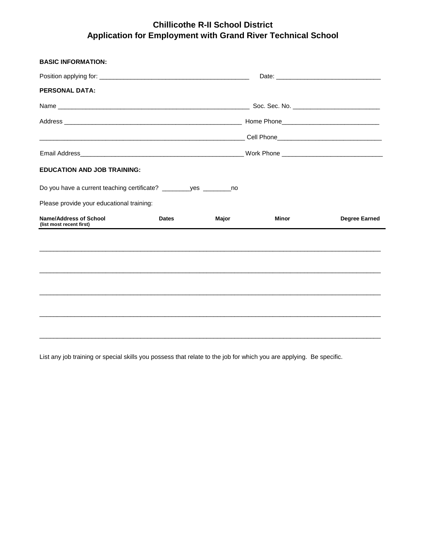## **Chillicothe R-II School District Application for Employment with Grand River Technical School**

| <b>BASIC INFORMATION:</b>                                  |              |       |       |                      |  |  |
|------------------------------------------------------------|--------------|-------|-------|----------------------|--|--|
|                                                            |              |       |       |                      |  |  |
| <b>PERSONAL DATA:</b>                                      |              |       |       |                      |  |  |
|                                                            |              |       |       |                      |  |  |
|                                                            |              |       |       |                      |  |  |
| <u> 1989 - Johann Stoff, amerikansk politiker (* 1908)</u> |              |       |       |                      |  |  |
|                                                            |              |       |       |                      |  |  |
| <b>EDUCATION AND JOB TRAINING:</b>                         |              |       |       |                      |  |  |
|                                                            |              |       |       |                      |  |  |
| Please provide your educational training:                  |              |       |       |                      |  |  |
| <b>Name/Address of School</b><br>(list most recent first)  | <b>Dates</b> | Major | Minor | <b>Degree Earned</b> |  |  |
|                                                            |              |       |       |                      |  |  |
|                                                            |              |       |       |                      |  |  |
|                                                            |              |       |       |                      |  |  |
|                                                            |              |       |       |                      |  |  |
|                                                            |              |       |       |                      |  |  |
|                                                            |              |       |       |                      |  |  |
|                                                            |              |       |       |                      |  |  |

List any job training or special skills you possess that relate to the job for which you are applying. Be specific.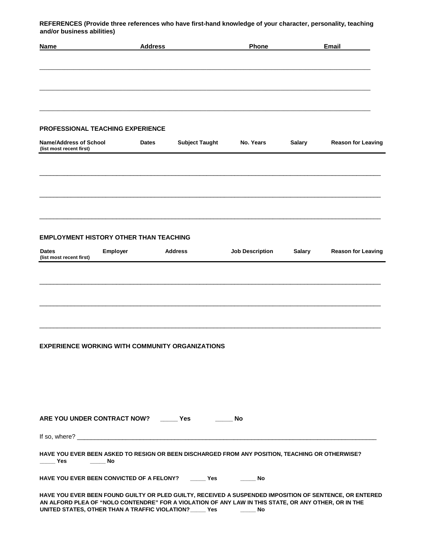**REFERENCES (Provide three references who have first-hand knowledge of your character, personality, teaching and/or business abilities)**

| <b>Name</b>                                                                                                                                                                                                                                                                                | <b>Address</b> |                       | Phone                  |               | Email                     |
|--------------------------------------------------------------------------------------------------------------------------------------------------------------------------------------------------------------------------------------------------------------------------------------------|----------------|-----------------------|------------------------|---------------|---------------------------|
|                                                                                                                                                                                                                                                                                            |                |                       |                        |               |                           |
| <b>PROFESSIONAL TEACHING EXPERIENCE</b>                                                                                                                                                                                                                                                    |                |                       |                        |               |                           |
| <b>Name/Address of School</b><br>(list most recent first)                                                                                                                                                                                                                                  | <b>Dates</b>   | <b>Subject Taught</b> | No. Years              | <b>Salary</b> | <b>Reason for Leaving</b> |
|                                                                                                                                                                                                                                                                                            |                |                       |                        |               |                           |
|                                                                                                                                                                                                                                                                                            |                |                       |                        |               |                           |
| <b>EMPLOYMENT HISTORY OTHER THAN TEACHING</b>                                                                                                                                                                                                                                              |                |                       |                        |               |                           |
| <b>Dates</b><br><b>Employer</b><br>(list most recent first)                                                                                                                                                                                                                                |                | Address               | <b>Job Description</b> | <b>Salary</b> | <b>Reason for Leaving</b> |
|                                                                                                                                                                                                                                                                                            |                |                       |                        |               |                           |
|                                                                                                                                                                                                                                                                                            |                |                       |                        |               |                           |
| <b>EXPERIENCE WORKING WITH COMMUNITY ORGANIZATIONS</b>                                                                                                                                                                                                                                     |                |                       |                        |               |                           |
|                                                                                                                                                                                                                                                                                            |                |                       |                        |               |                           |
|                                                                                                                                                                                                                                                                                            |                |                       |                        |               |                           |
| ARE YOU UNDER CONTRACT NOW? _______ Yes                                                                                                                                                                                                                                                    |                |                       | No. No.                |               |                           |
|                                                                                                                                                                                                                                                                                            |                |                       |                        |               |                           |
| HAVE YOU EVER BEEN ASKED TO RESIGN OR BEEN DISCHARGED FROM ANY POSITION, TEACHING OR OTHERWISE?<br>$\rule{1em}{0.15mm}$ Yes                                                                                                                                                                |                |                       |                        |               |                           |
| HAVE YOU EVER BEEN CONVICTED OF A FELONY? ______ Yes ________ No                                                                                                                                                                                                                           |                |                       |                        |               |                           |
| HAVE YOU EVER BEEN FOUND GUILTY OR PLED GUILTY, RECEIVED A SUSPENDED IMPOSITION OF SENTENCE, OR ENTERED<br>AN ALFORD PLEA OF "NOLO CONTENDRE" FOR A VIOLATION OF ANY LAW IN THIS STATE, OR ANY OTHER, OR IN THE<br>UNITED STATES, OTHER THAN A TRAFFIC VIOLATION? ______ Yes __________ No |                |                       |                        |               |                           |